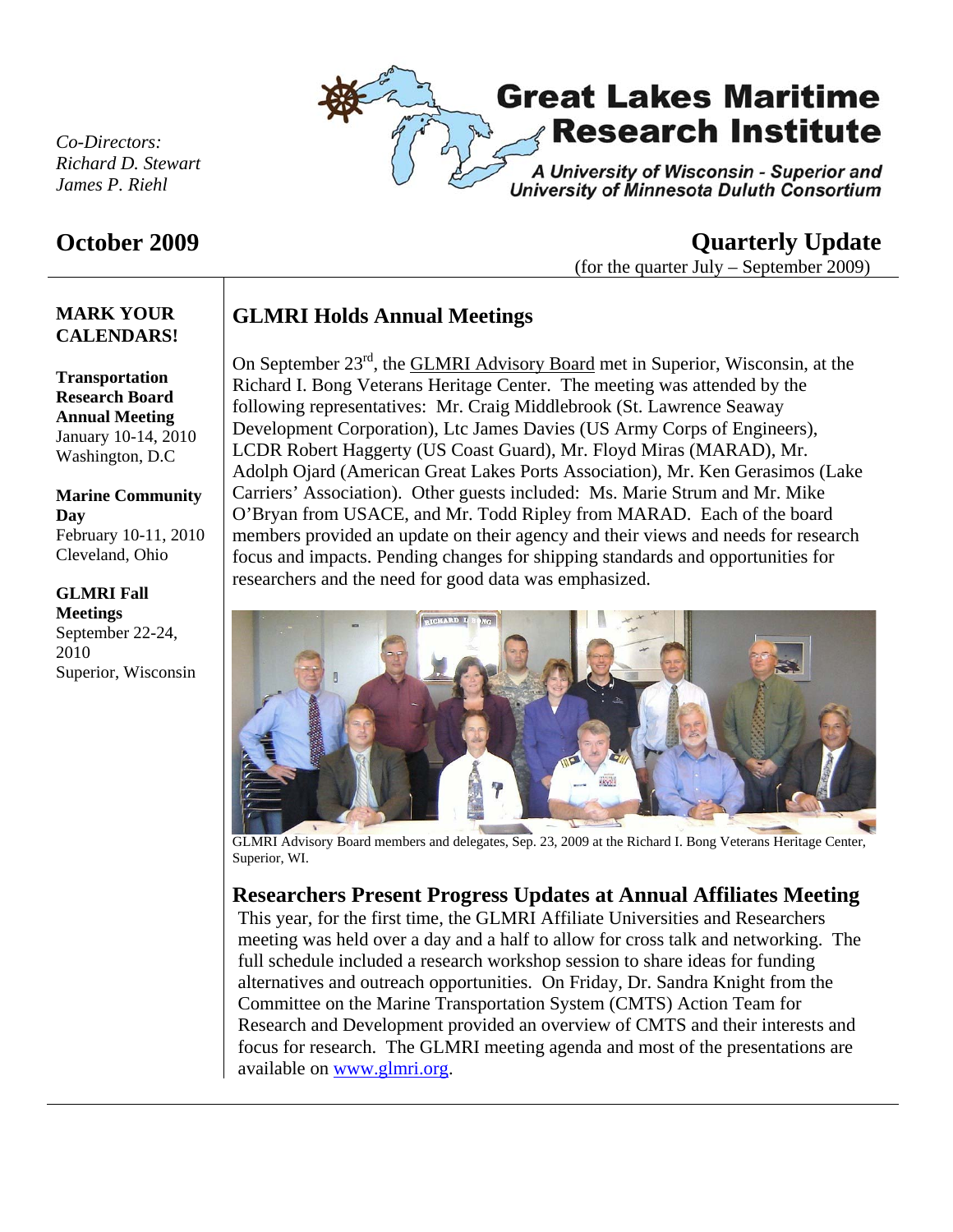

*Co-Directors: Richard D. Stewart James P. Riehl* 

### **October 2009 Quarterly Update**  (for the quarter July – September 2009)

## **GLMRI Holds Annual Meetings**

On September 23rd, the GLMRI Advisory Board met in Superior, Wisconsin, at the Richard I. Bong Veterans Heritage Center. The meeting was attended by the following representatives: Mr. Craig Middlebrook (St. Lawrence Seaway Development Corporation), Ltc James Davies (US Army Corps of Engineers), LCDR Robert Haggerty (US Coast Guard), Mr. Floyd Miras (MARAD), Mr. Adolph Ojard (American Great Lakes Ports Association), Mr. Ken Gerasimos (Lake Carriers' Association). Other guests included: Ms. Marie Strum and Mr. Mike O'Bryan from USACE, and Mr. Todd Ripley from MARAD. Each of the board members provided an update on their agency and their views and needs for research focus and impacts. Pending changes for shipping standards and opportunities for researchers and the need for good data was emphasized.



GLMRI Advisory Board members and delegates, Sep. 23, 2009 at the Richard I. Bong Veterans Heritage Center, Superior, WI.

### **Researchers Present Progress Updates at Annual Affiliates Meeting**

This year, for the first time, the GLMRI Affiliate Universities and Researchers meeting was held over a day and a half to allow for cross talk and networking. The full schedule included a research workshop session to share ideas for funding alternatives and outreach opportunities. On Friday, Dr. Sandra Knight from the Committee on the Marine Transportation System (CMTS) Action Team for Research and Development provided an overview of CMTS and their interests and focus for research. The GLMRI meeting agenda and most of the presentations are available on www.glmri.org.

# **CALENDARS! Transportation**

**MARK YOUR** 

**Research Board Annual Meeting**  January 10-14, 2010 Washington, D.C

#### **Marine Community Day**  February 10-11, 2010

Cleveland, Ohio

#### **GLMRI Fall Meetings**  September 22-24, 2010 Superior, Wisconsin